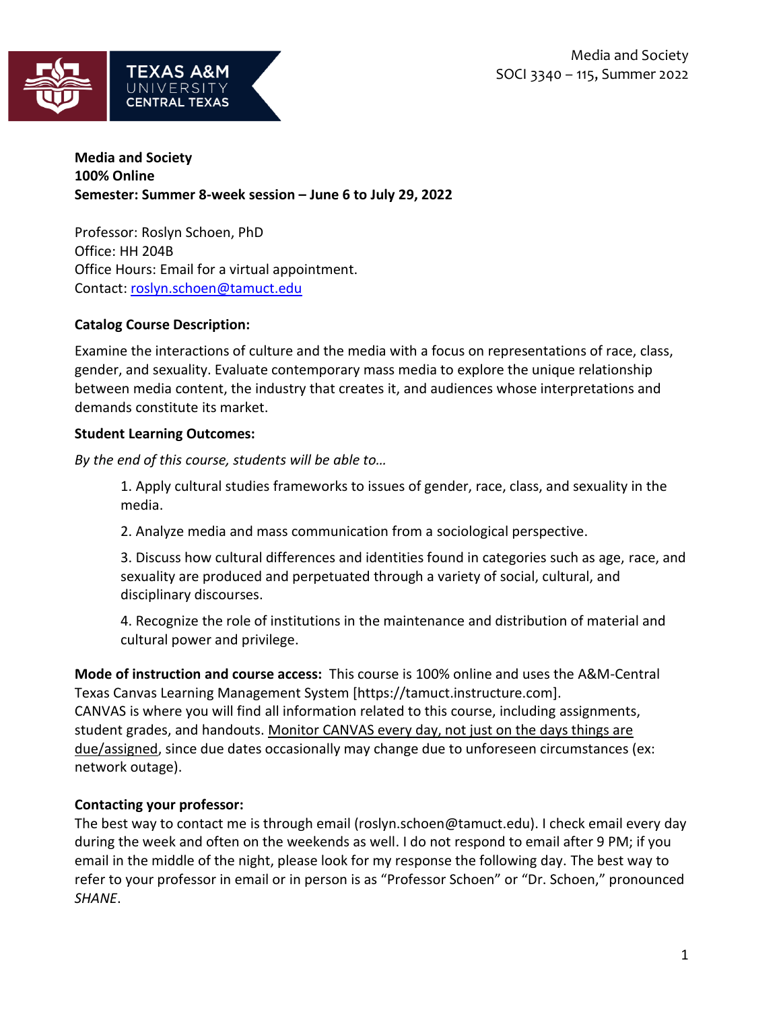

## **Media and Society 100% Online Semester: Summer 8-week session – June 6 to July 29, 2022**

Professor: Roslyn Schoen, PhD Office: HH 204B Office Hours: Email for a virtual appointment. Contact: [roslyn.schoen@tamuct.edu](mailto:roslyn.schoen@tamuct.edu)

## **Catalog Course Description:**

Examine the interactions of culture and the media with a focus on representations of race, class, gender, and sexuality. Evaluate contemporary mass media to explore the unique relationship between media content, the industry that creates it, and audiences whose interpretations and demands constitute its market.

## **Student Learning Outcomes:**

*By the end of this course, students will be able to…*

1. Apply cultural studies frameworks to issues of gender, race, class, and sexuality in the media.

2. Analyze media and mass communication from a sociological perspective.

3. Discuss how cultural differences and identities found in categories such as age, race, and sexuality are produced and perpetuated through a variety of social, cultural, and disciplinary discourses.

4. Recognize the role of institutions in the maintenance and distribution of material and cultural power and privilege.

**Mode of instruction and course access:** This course is 100% online and uses the A&M-Central Texas Canvas Learning Management System [https://tamuct.instructure.com]. CANVAS is where you will find all information related to this course, including assignments, student grades, and handouts. Monitor CANVAS every day, not just on the days things are due/assigned, since due dates occasionally may change due to unforeseen circumstances (ex: network outage).

# **Contacting your professor:**

The best way to contact me is through email (roslyn.schoen@tamuct.edu). I check email every day during the week and often on the weekends as well. I do not respond to email after 9 PM; if you email in the middle of the night, please look for my response the following day. The best way to refer to your professor in email or in person is as "Professor Schoen" or "Dr. Schoen," pronounced *SHANE*.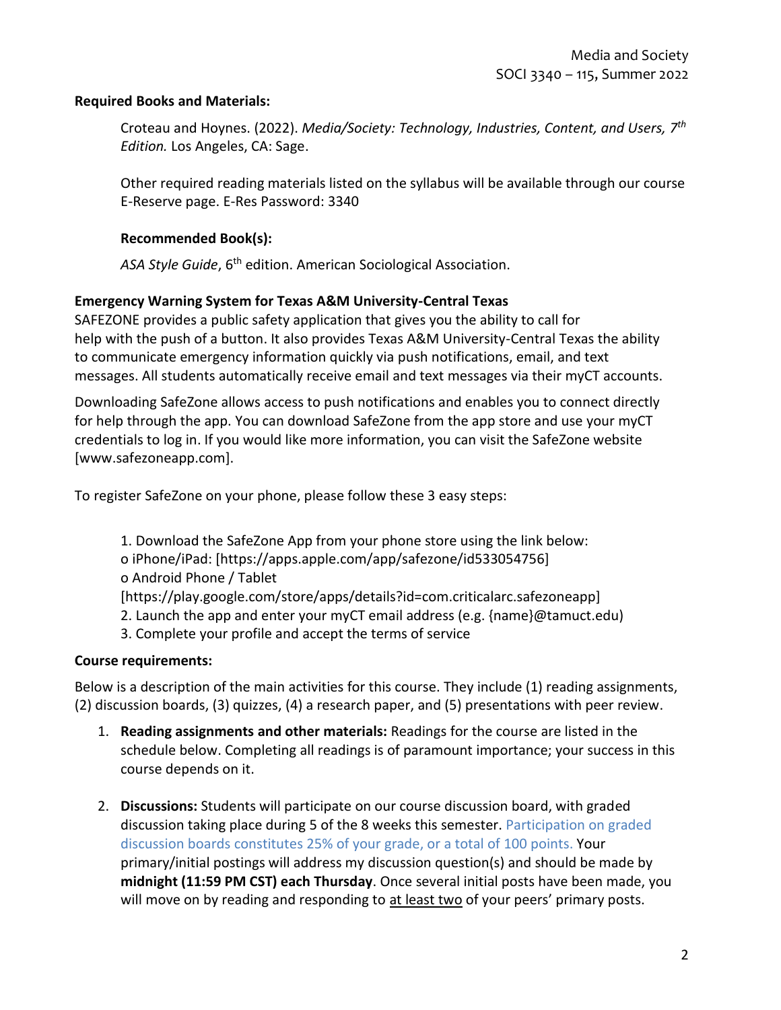#### **Required Books and Materials:**

Croteau and Hoynes. (2022). *Media/Society: Technology, Industries, Content, and Users, 7 th Edition.* Los Angeles, CA: Sage.

Other required reading materials listed on the syllabus will be available through our course E-Reserve page. E-Res Password: 3340

### **Recommended Book(s):**

ASA Style Guide, 6<sup>th</sup> edition. American Sociological Association.

### **Emergency Warning System for Texas A&M University-Central Texas**

SAFEZONE provides a public safety application that gives you the ability to call for help with the push of a button. It also provides Texas A&M University-Central Texas the ability to communicate emergency information quickly via push notifications, email, and text messages. All students automatically receive email and text messages via their myCT accounts.

Downloading SafeZone allows access to push notifications and enables you to connect directly for help through the app. You can download SafeZone from the app store and use your myCT credentials to log in. If you would like more information, you can visit the SafeZone website [www.safezoneapp.com].

To register SafeZone on your phone, please follow these 3 easy steps:

1. Download the SafeZone App from your phone store using the link below: o iPhone/iPad: [https://apps.apple.com/app/safezone/id533054756] o Android Phone / Tablet [https://play.google.com/store/apps/details?id=com.criticalarc.safezoneapp] 2. Launch the app and enter your myCT email address (e.g. {name}@tamuct.edu) 3. Complete your profile and accept the terms of service

#### **Course requirements:**

Below is a description of the main activities for this course. They include (1) reading assignments, (2) discussion boards, (3) quizzes, (4) a research paper, and (5) presentations with peer review.

- 1. **Reading assignments and other materials:** Readings for the course are listed in the schedule below. Completing all readings is of paramount importance; your success in this course depends on it.
- 2. **Discussions:** Students will participate on our course discussion board, with graded discussion taking place during 5 of the 8 weeks this semester. Participation on graded discussion boards constitutes 25% of your grade, or a total of 100 points. Your primary/initial postings will address my discussion question(s) and should be made by **midnight (11:59 PM CST) each Thursday**. Once several initial posts have been made, you will move on by reading and responding to at least two of your peers' primary posts.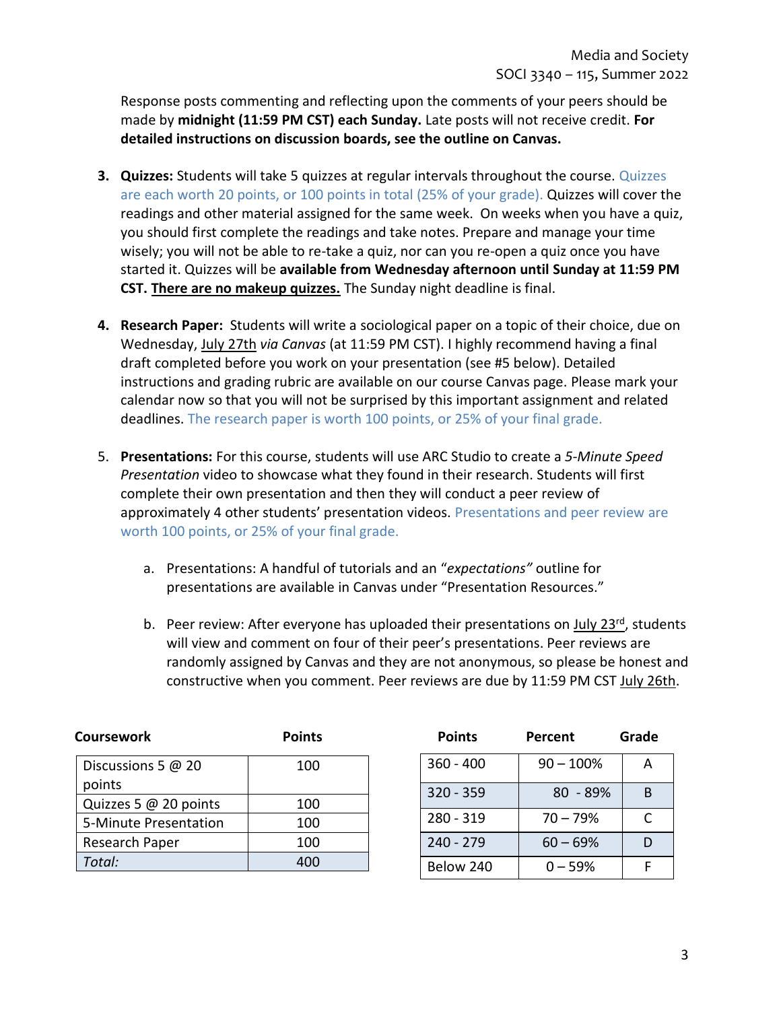Response posts commenting and reflecting upon the comments of your peers should be made by **midnight (11:59 PM CST) each Sunday.** Late posts will not receive credit. **For detailed instructions on discussion boards, see the outline on Canvas.**

- **3. Quizzes:** Students will take 5 quizzes at regular intervals throughout the course. Quizzes are each worth 20 points, or 100 points in total (25% of your grade). Quizzes will cover the readings and other material assigned for the same week. On weeks when you have a quiz, you should first complete the readings and take notes. Prepare and manage your time wisely; you will not be able to re-take a quiz, nor can you re-open a quiz once you have started it. Quizzes will be **available from Wednesday afternoon until Sunday at 11:59 PM CST. There are no makeup quizzes.** The Sunday night deadline is final.
- **4. Research Paper:** Students will write a sociological paper on a topic of their choice, due on Wednesday, July 27th *via Canvas* (at 11:59 PM CST). I highly recommend having a final draft completed before you work on your presentation (see #5 below). Detailed instructions and grading rubric are available on our course Canvas page. Please mark your calendar now so that you will not be surprised by this important assignment and related deadlines. The research paper is worth 100 points, or 25% of your final grade.
- 5. **Presentations:** For this course, students will use ARC Studio to create a *5-Minute Speed Presentation* video to showcase what they found in their research. Students will first complete their own presentation and then they will conduct a peer review of approximately 4 other students' presentation videos. Presentations and peer review are worth 100 points, or 25% of your final grade.
	- a. Presentations: A handful of tutorials and an "*expectations"* outline for presentations are available in Canvas under "Presentation Resources."
	- b. Peer review: After everyone has uploaded their presentations on July  $23^{rd}$ , students will view and comment on four of their peer's presentations. Peer reviews are randomly assigned by Canvas and they are not anonymous, so please be honest and constructive when you comment. Peer reviews are due by 11:59 PM CST July 26th.

| <b>Coursework</b>     | <b>Points</b> | <b>Points</b> | Percent      | Grade |
|-----------------------|---------------|---------------|--------------|-------|
| Discussions 5 @ 20    | 100           | $360 - 400$   | $90 - 100\%$ | A     |
| points                |               | $320 - 359$   | $80 - 89%$   | B     |
| Quizzes 5 @ 20 points | 100           |               |              |       |
| 5-Minute Presentation | 100           | 280 - 319     | $70 - 79%$   |       |
| Research Paper        | 100           | $240 - 279$   | $60 - 69%$   |       |
| Total:                | 400           | Below 240     | $0 - 59%$    |       |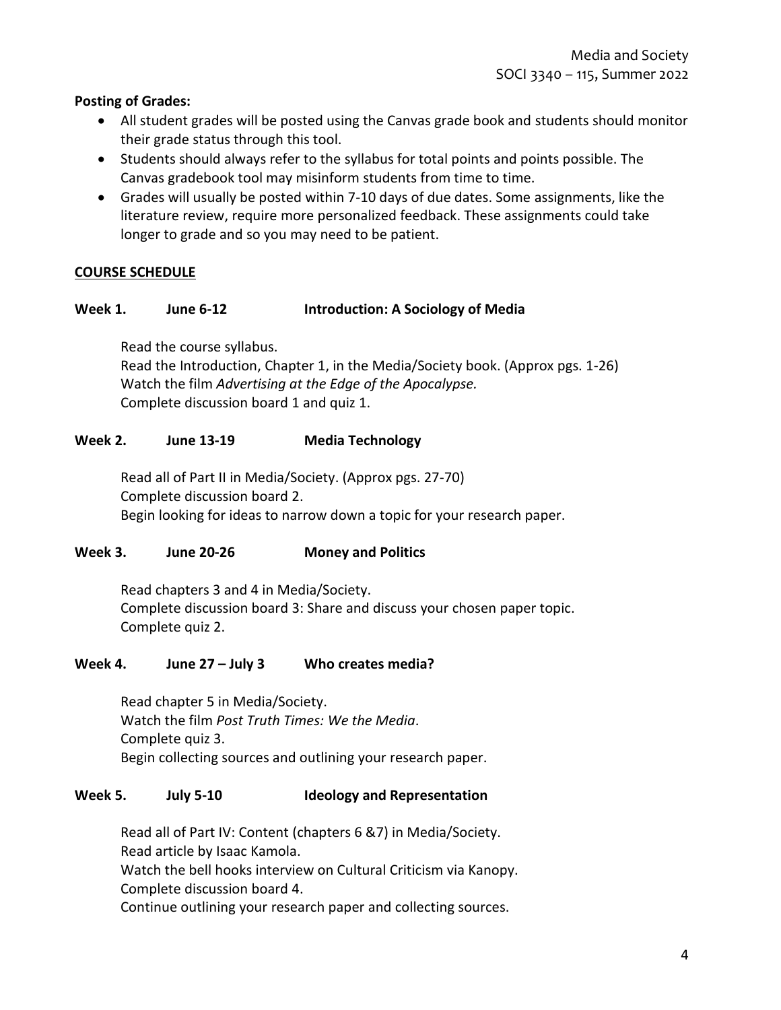### **Posting of Grades:**

- All student grades will be posted using the Canvas grade book and students should monitor their grade status through this tool.
- Students should always refer to the syllabus for total points and points possible. The Canvas gradebook tool may misinform students from time to time.
- Grades will usually be posted within 7-10 days of due dates. Some assignments, like the literature review, require more personalized feedback. These assignments could take longer to grade and so you may need to be patient.

## **COURSE SCHEDULE**

### **Week 1. June 6-12 Introduction: A Sociology of Media**

Read the course syllabus.

Read the Introduction, Chapter 1, in the Media/Society book. (Approx pgs. 1-26) Watch the film *Advertising at the Edge of the Apocalypse.* Complete discussion board 1 and quiz 1.

#### **Week 2. June 13-19 Media Technology**

Read all of Part II in Media/Society. (Approx pgs. 27-70) Complete discussion board 2. Begin looking for ideas to narrow down a topic for your research paper.

#### **Week 3. June 20-26 Money and Politics**

Read chapters 3 and 4 in Media/Society. Complete discussion board 3: Share and discuss your chosen paper topic. Complete quiz 2.

#### **Week 4. June 27 – July 3 Who creates media?**

Read chapter 5 in Media/Society. Watch the film *Post Truth Times: We the Media*. Complete quiz 3. Begin collecting sources and outlining your research paper.

#### **Week 5. July 5-10 Ideology and Representation**

Read all of Part IV: Content (chapters 6 &7) in Media/Society. Read article by Isaac Kamola.

Watch the bell hooks interview on Cultural Criticism via Kanopy. Complete discussion board 4.

Continue outlining your research paper and collecting sources.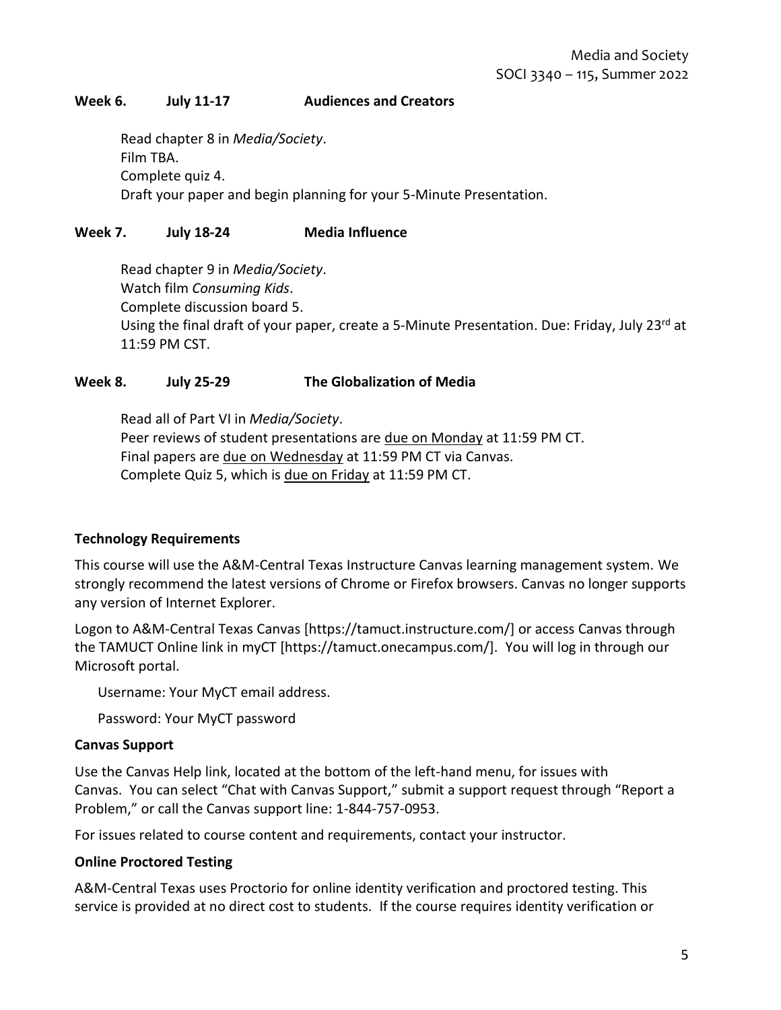### **Week 6. July 11-17 Audiences and Creators**

Read chapter 8 in *Media/Society*. Film TBA. Complete quiz 4. Draft your paper and begin planning for your 5-Minute Presentation.

### **Week 7. July 18-24 Media Influence**

Read chapter 9 in *Media/Society*. Watch film *Consuming Kids*. Complete discussion board 5. Using the final draft of your paper, create a 5-Minute Presentation. Due: Friday, July 23rd at 11:59 PM CST.

#### **Week 8. July 25-29 The Globalization of Media**

Read all of Part VI in *Media/Society*. Peer reviews of student presentations are due on Monday at 11:59 PM CT. Final papers are due on Wednesday at 11:59 PM CT via Canvas. Complete Quiz 5, which is due on Friday at 11:59 PM CT.

#### **Technology Requirements**

This course will use the A&M-Central Texas Instructure Canvas learning management system. We strongly recommend the latest versions of Chrome or Firefox browsers. Canvas no longer supports any version of Internet Explorer.

Logon to A&M-Central Texas Canvas [https://tamuct.instructure.com/] or access Canvas through the TAMUCT Online link in myCT [https://tamuct.onecampus.com/]. You will log in through our Microsoft portal.

Username: Your MyCT email address.

Password: Your MyCT password

#### **Canvas Support**

Use the Canvas Help link, located at the bottom of the left-hand menu, for issues with Canvas. You can select "Chat with Canvas Support," submit a support request through "Report a Problem," or call the Canvas support line: 1-844-757-0953.

For issues related to course content and requirements, contact your instructor.

#### **Online Proctored Testing**

A&M-Central Texas uses Proctorio for online identity verification and proctored testing. This service is provided at no direct cost to students. If the course requires identity verification or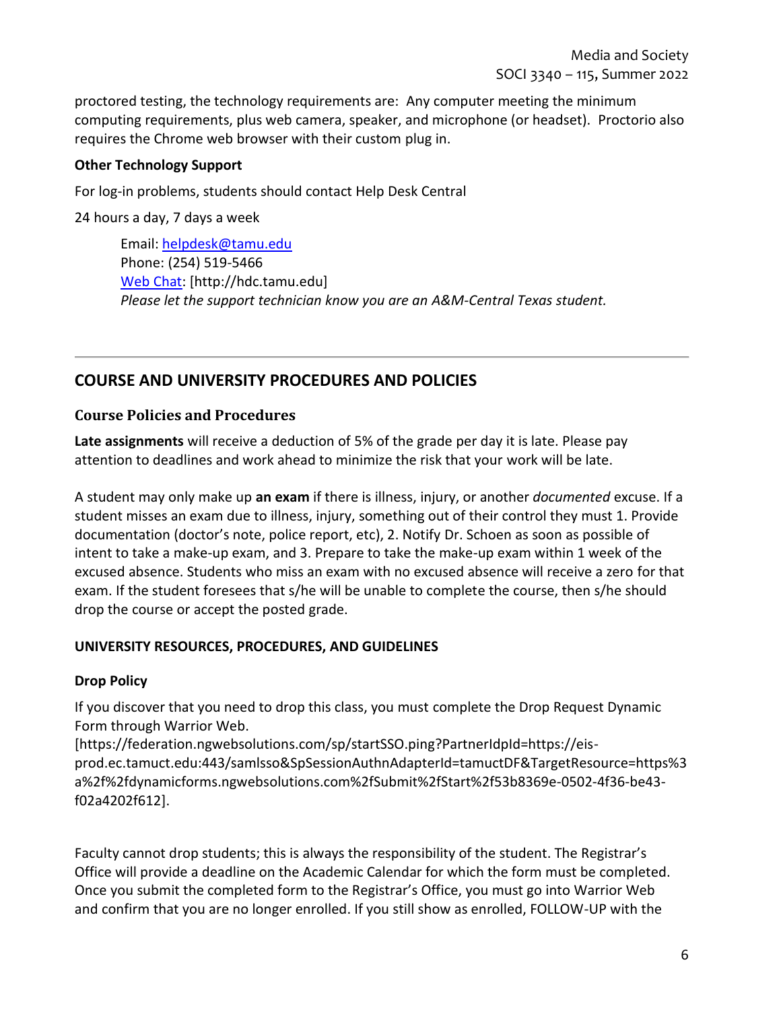proctored testing, the technology requirements are: Any computer meeting the minimum computing requirements, plus web camera, speaker, and microphone (or headset). Proctorio also requires the Chrome web browser with their custom plug in.

## **Other Technology Support**

For log-in problems, students should contact Help Desk Central

24 hours a day, 7 days a week

Email: [helpdesk@tamu.edu](mailto:helpdesk@tamu.edu) Phone: (254) 519-5466 [Web Chat:](http://hdc.tamu.edu/) [http://hdc.tamu.edu] *Please let the support technician know you are an A&M-Central Texas student.*

# **COURSE AND UNIVERSITY PROCEDURES AND POLICIES**

## **Course Policies and Procedures**

**Late assignments** will receive a deduction of 5% of the grade per day it is late. Please pay attention to deadlines and work ahead to minimize the risk that your work will be late.

A student may only make up **an exam** if there is illness, injury, or another *documented* excuse. If a student misses an exam due to illness, injury, something out of their control they must 1. Provide documentation (doctor's note, police report, etc), 2. Notify Dr. Schoen as soon as possible of intent to take a make-up exam, and 3. Prepare to take the make-up exam within 1 week of the excused absence. Students who miss an exam with no excused absence will receive a zero for that exam. If the student foresees that s/he will be unable to complete the course, then s/he should drop the course or accept the posted grade.

## **UNIVERSITY RESOURCES, PROCEDURES, AND GUIDELINES**

# **Drop Policy**

If you discover that you need to drop this class, you must complete the Drop Request Dynamic Form through Warrior Web.

[https://federation.ngwebsolutions.com/sp/startSSO.ping?PartnerIdpId=https://eisprod.ec.tamuct.edu:443/samlsso&SpSessionAuthnAdapterId=tamuctDF&TargetResource=https%3 a%2f%2fdynamicforms.ngwebsolutions.com%2fSubmit%2fStart%2f53b8369e-0502-4f36-be43 f02a4202f612].

Faculty cannot drop students; this is always the responsibility of the student. The Registrar's Office will provide a deadline on the Academic Calendar for which the form must be completed. Once you submit the completed form to the Registrar's Office, you must go into Warrior Web and confirm that you are no longer enrolled. If you still show as enrolled, FOLLOW-UP with the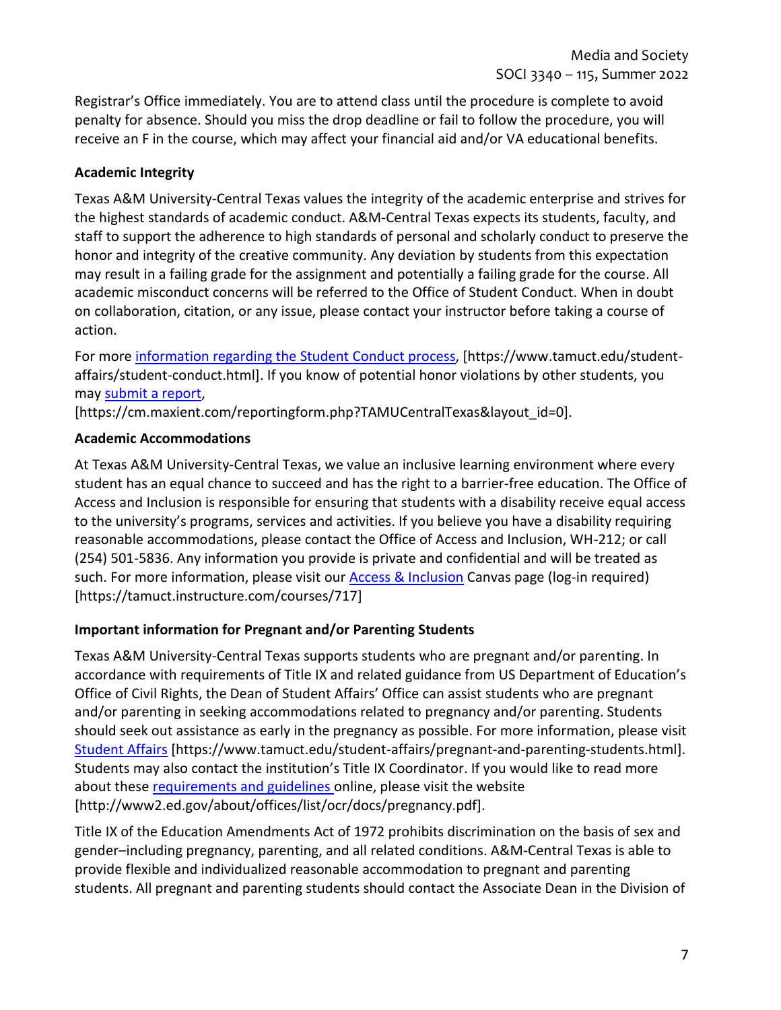Registrar's Office immediately. You are to attend class until the procedure is complete to avoid penalty for absence. Should you miss the drop deadline or fail to follow the procedure, you will receive an F in the course, which may affect your financial aid and/or VA educational benefits.

# **Academic Integrity**

Texas A&M University-Central Texas values the integrity of the academic enterprise and strives for the highest standards of academic conduct. A&M-Central Texas expects its students, faculty, and staff to support the adherence to high standards of personal and scholarly conduct to preserve the honor and integrity of the creative community. Any deviation by students from this expectation may result in a failing grade for the assignment and potentially a failing grade for the course. All academic misconduct concerns will be referred to the Office of Student Conduct. When in doubt on collaboration, citation, or any issue, please contact your instructor before taking a course of action.

For more [information](https://nam04.safelinks.protection.outlook.com/?url=https%3A%2F%2Fwww.tamuct.edu%2Fstudent-affairs%2Fstudent-conduct.html&data=04%7C01%7Clisa.bunkowski%40tamuct.edu%7Ccfb6e486f24745f53e1a08d910055cb2%7C9eed4e3000f744849ff193ad8005acec%7C0%7C0%7C637558437485252160%7CUnknown%7CTWFpbGZsb3d8eyJWIjoiMC4wLjAwMDAiLCJQIjoiV2luMzIiLCJBTiI6Ik1haWwiLCJXVCI6Mn0%3D%7C1000&sdata=yjftDEVHvLX%2FhM%2FcFU0B99krV1RgEWR%2BJ%2BhvtoR6TYk%3D&reserved=0) regarding the Student Conduct process, [https://www.tamuct.edu/studentaffairs/student-conduct.html]. If you know of potential honor violations by other students, you may [submit](https://nam04.safelinks.protection.outlook.com/?url=https%3A%2F%2Fcm.maxient.com%2Freportingform.php%3FTAMUCentralTexas%26layout_id%3D0&data=04%7C01%7Clisa.bunkowski%40tamuct.edu%7Ccfb6e486f24745f53e1a08d910055cb2%7C9eed4e3000f744849ff193ad8005acec%7C0%7C0%7C637558437485262157%7CUnknown%7CTWFpbGZsb3d8eyJWIjoiMC4wLjAwMDAiLCJQIjoiV2luMzIiLCJBTiI6Ik1haWwiLCJXVCI6Mn0%3D%7C1000&sdata=CXGkOa6uPDPX1IMZ87z3aZDq2n91xfHKu4MMS43Ejjk%3D&reserved=0) a report,

[https://cm.maxient.com/reportingform.php?TAMUCentralTexas&layout\_id=0].

# **Academic Accommodations**

At Texas A&M University-Central Texas, we value an inclusive learning environment where every student has an equal chance to succeed and has the right to a barrier-free education. The Office of Access and Inclusion is responsible for ensuring that students with a disability receive equal access to the university's programs, services and activities. If you believe you have a disability requiring reasonable accommodations, please contact the Office of Access and Inclusion, WH-212; or call (254) 501-5836. Any information you provide is private and confidential and will be treated as such. For more information, please visit our [Access & Inclusion](https://tamuct.instructure.com/courses/717) Canvas page (log-in required) [https://tamuct.instructure.com/courses/717]

# **Important information for Pregnant and/or Parenting Students**

Texas A&M University-Central Texas supports students who are pregnant and/or parenting. In accordance with requirements of Title IX and related guidance from US Department of Education's Office of Civil Rights, the Dean of Student Affairs' Office can assist students who are pregnant and/or parenting in seeking accommodations related to pregnancy and/or parenting. Students should seek out assistance as early in the pregnancy as possible. For more information, please visit [Student Affairs](https://www.tamuct.edu/student-affairs/pregnant-and-parenting-students.html) [https://www.tamuct.edu/student-affairs/pregnant-and-parenting-students.html]. Students may also contact the institution's Title IX Coordinator. If you would like to read more about thes[e requirements and guidelines](http://www2.ed.gov/about/offices/list/ocr/docs/pregnancy.pdf) online, please visit the website [http://www2.ed.gov/about/offices/list/ocr/docs/pregnancy.pdf].

Title IX of the Education Amendments Act of 1972 prohibits discrimination on the basis of sex and gender–including pregnancy, parenting, and all related conditions. A&M-Central Texas is able to provide flexible and individualized reasonable accommodation to pregnant and parenting students. All pregnant and parenting students should contact the Associate Dean in the Division of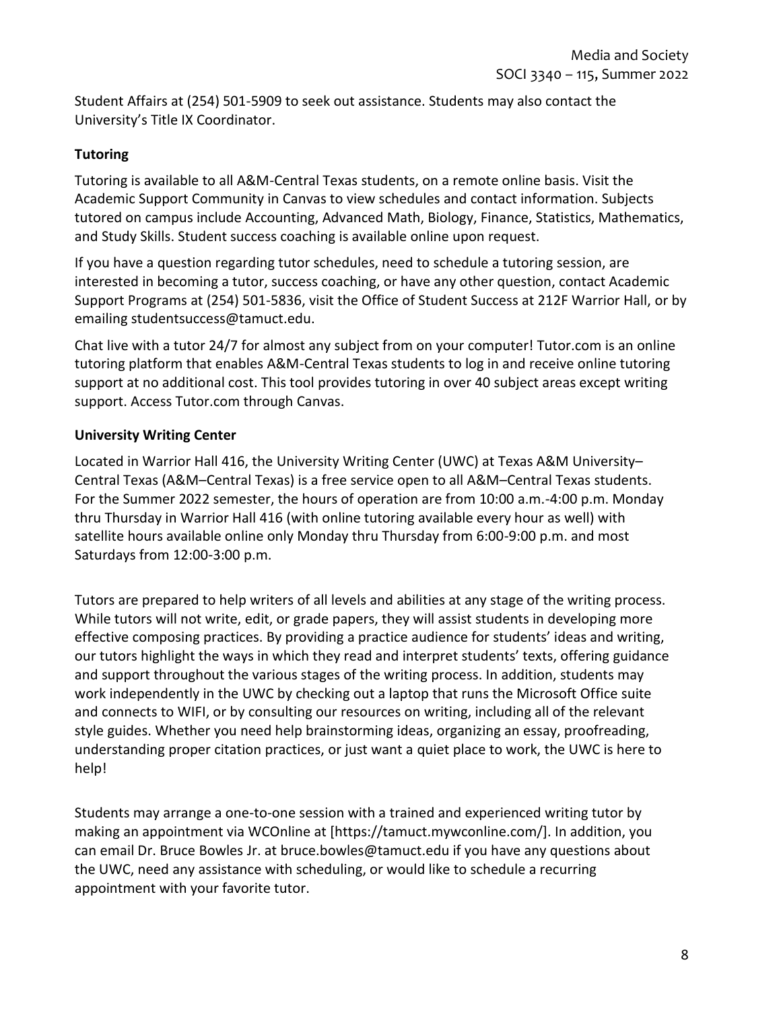Student Affairs at (254) 501-5909 to seek out assistance. Students may also contact the University's Title IX Coordinator.

# **Tutoring**

Tutoring is available to all A&M-Central Texas students, on a remote online basis. Visit the Academic Support Community in Canvas to view schedules and contact information. Subjects tutored on campus include Accounting, Advanced Math, Biology, Finance, Statistics, Mathematics, and Study Skills. Student success coaching is available online upon request.

If you have a question regarding tutor schedules, need to schedule a tutoring session, are interested in becoming a tutor, success coaching, or have any other question, contact Academic Support Programs at (254) 501-5836, visit the Office of Student Success at 212F Warrior Hall, or by emailing studentsuccess@tamuct.edu.

Chat live with a tutor 24/7 for almost any subject from on your computer! Tutor.com is an online tutoring platform that enables A&M-Central Texas students to log in and receive online tutoring support at no additional cost. This tool provides tutoring in over 40 subject areas except writing support. Access Tutor.com through Canvas.

# **University Writing Center**

Located in Warrior Hall 416, the University Writing Center (UWC) at Texas A&M University– Central Texas (A&M–Central Texas) is a free service open to all A&M–Central Texas students. For the Summer 2022 semester, the hours of operation are from 10:00 a.m.-4:00 p.m. Monday thru Thursday in Warrior Hall 416 (with online tutoring available every hour as well) with satellite hours available online only Monday thru Thursday from 6:00-9:00 p.m. and most Saturdays from 12:00-3:00 p.m.

Tutors are prepared to help writers of all levels and abilities at any stage of the writing process. While tutors will not write, edit, or grade papers, they will assist students in developing more effective composing practices. By providing a practice audience for students' ideas and writing, our tutors highlight the ways in which they read and interpret students' texts, offering guidance and support throughout the various stages of the writing process. In addition, students may work independently in the UWC by checking out a laptop that runs the Microsoft Office suite and connects to WIFI, or by consulting our resources on writing, including all of the relevant style guides. Whether you need help brainstorming ideas, organizing an essay, proofreading, understanding proper citation practices, or just want a quiet place to work, the UWC is here to help!

Students may arrange a one-to-one session with a trained and experienced writing tutor by making an appointment via WCOnline at [https://tamuct.mywconline.com/]. In addition, you can email Dr. Bruce Bowles Jr. at bruce.bowles@tamuct.edu if you have any questions about the UWC, need any assistance with scheduling, or would like to schedule a recurring appointment with your favorite tutor.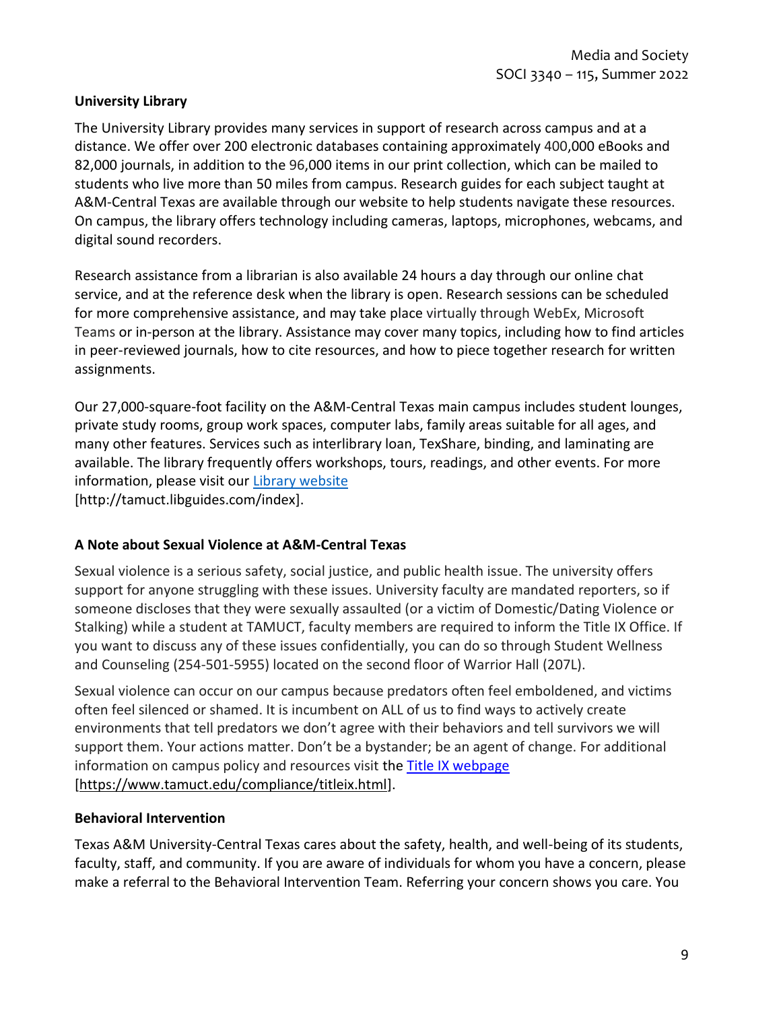### **University Library**

The University Library provides many services in support of research across campus and at a distance. We offer over 200 electronic databases containing approximately 400,000 eBooks and 82,000 journals, in addition to the 96,000 items in our print collection, which can be mailed to students who live more than 50 miles from campus. Research guides for each subject taught at A&M-Central Texas are available through our website to help students navigate these resources. On campus, the library offers technology including cameras, laptops, microphones, webcams, and digital sound recorders.

Research assistance from a librarian is also available 24 hours a day through our online chat service, and at the reference desk when the library is open. Research sessions can be scheduled for more comprehensive assistance, and may take place virtually through WebEx, Microsoft Teams or in-person at the library. Assistance may cover many topics, including how to find articles in peer-reviewed journals, how to cite resources, and how to piece together research for written assignments.

Our 27,000-square-foot facility on the A&M-Central Texas main campus includes student lounges, private study rooms, group work spaces, computer labs, family areas suitable for all ages, and many other features. Services such as interlibrary loan, TexShare, binding, and laminating are available. The library frequently offers workshops, tours, readings, and other events. For more information, please visit our Library [website](https://nam04.safelinks.protection.outlook.com/?url=https%3A%2F%2Ftamuct.libguides.com%2Findex&data=04%7C01%7Clisa.bunkowski%40tamuct.edu%7C7d8489e8839a4915335f08d916f067f2%7C9eed4e3000f744849ff193ad8005acec%7C0%7C0%7C637566044056484222%7CUnknown%7CTWFpbGZsb3d8eyJWIjoiMC4wLjAwMDAiLCJQIjoiV2luMzIiLCJBTiI6Ik1haWwiLCJXVCI6Mn0%3D%7C1000&sdata=2R755V6rcIyedGrd4Os5rkgn1PvhHKU3kUV1vBKiHFo%3D&reserved=0) [http://tamuct.libguides.com/index].

#### **A Note about Sexual Violence at A&M-Central Texas**

Sexual violence is a serious safety, social justice, and public health issue. The university offers support for anyone struggling with these issues. University faculty are mandated reporters, so if someone discloses that they were sexually assaulted (or a victim of Domestic/Dating Violence or Stalking) while a student at TAMUCT, faculty members are required to inform the Title IX Office. If you want to discuss any of these issues confidentially, you can do so through Student Wellness and Counseling (254-501-5955) located on the second floor of Warrior Hall (207L).

Sexual violence can occur on our campus because predators often feel emboldened, and victims often feel silenced or shamed. It is incumbent on ALL of us to find ways to actively create environments that tell predators we don't agree with their behaviors and tell survivors we will support them. Your actions matter. Don't be a bystander; be an agent of change. For additional information on campus policy and resources visit the [Title IX webpage](https://www.tamuct.edu/compliance/titleix.html) [\[https://www.tamuct.edu/compliance/titleix.html\]](https://www.tamuct.edu/compliance/titleix.html).

#### **Behavioral Intervention**

Texas A&M University-Central Texas cares about the safety, health, and well-being of its students, faculty, staff, and community. If you are aware of individuals for whom you have a concern, please make a referral to the Behavioral Intervention Team. Referring your concern shows you care. You